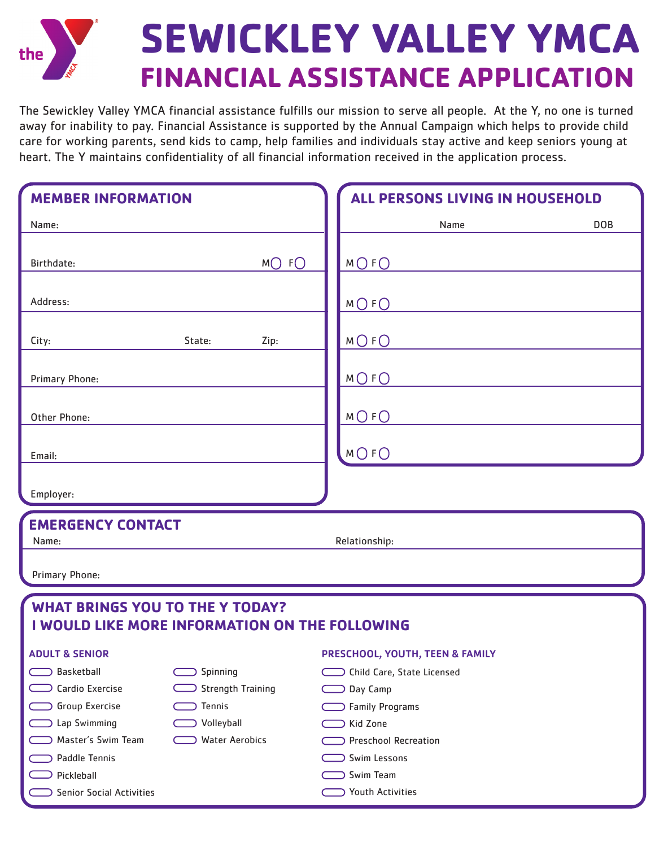

The Sewickley Valley YMCA financial assistance fulfills our mission to serve all people. At the Y, no one is turned away for inability to pay. Financial Assistance is supported by the Annual Campaign which helps to provide child care for working parents, send kids to camp, help families and individuals stay active and keep seniors young at heart. The Y maintains confidentiality of all financial information received in the application process.

| <b>MEMBER INFORMATION</b>                      |                          |      | ALL PERSONS LIVING IN HOUSEHOLD |            |
|------------------------------------------------|--------------------------|------|---------------------------------|------------|
| Name:                                          |                          |      | Name                            | <b>DOB</b> |
|                                                |                          |      |                                 |            |
| Birthdate:                                     |                          | MOFO | $M$ $O$ $F$ $O$                 |            |
|                                                |                          |      |                                 |            |
| Address:                                       |                          |      | $M$ $O$ $F$ $O$                 |            |
|                                                |                          |      |                                 |            |
| City:                                          | State:                   | Zip: | $M$ $O$ $F$ $O$                 |            |
|                                                |                          |      |                                 |            |
| Primary Phone:                                 |                          |      | $M$ $O$ $F$ $O$                 |            |
|                                                |                          |      |                                 |            |
| Other Phone:                                   |                          |      | $M$ $O$ $F$ $O$                 |            |
|                                                |                          |      |                                 |            |
| Email:                                         |                          |      | MOFO                            |            |
|                                                |                          |      |                                 |            |
| Employer:                                      |                          |      |                                 |            |
| <b>EMERGENCY CONTACT</b>                       |                          |      |                                 |            |
| Name:                                          |                          |      | Relationship:                   |            |
|                                                |                          |      |                                 |            |
| Primary Phone:                                 |                          |      |                                 |            |
| <b>WHAT BRINGS YOU TO THE Y TODAY?</b>         |                          |      |                                 |            |
| I WOULD LIKE MORE INFORMATION ON THE FOLLOWING |                          |      |                                 |            |
|                                                |                          |      |                                 |            |
| <b>ADULT &amp; SENIOR</b>                      |                          |      | PRESCHOOL, YOUTH, TEEN & FAMILY |            |
| Basketball                                     | Spinning                 |      | O Child Care, State Licensed    |            |
| Cardio Exercise                                | <b>Strength Training</b> |      | Day Camp                        |            |
| Group Exercise                                 | Tennis                   |      | <b>Family Programs</b>          |            |
| <b>Lap Swimming</b>                            | Volleyball               |      | Kid Zone                        |            |
| Master's Swim Team                             | <b>Water Aerobics</b>    |      | <b>Preschool Recreation</b>     |            |
| Paddle Tennis                                  |                          |      | Swim Lessons                    |            |
| Pickleball<br><b>Senior Social Activities</b>  |                          |      | Swim Team<br>Youth Activities   |            |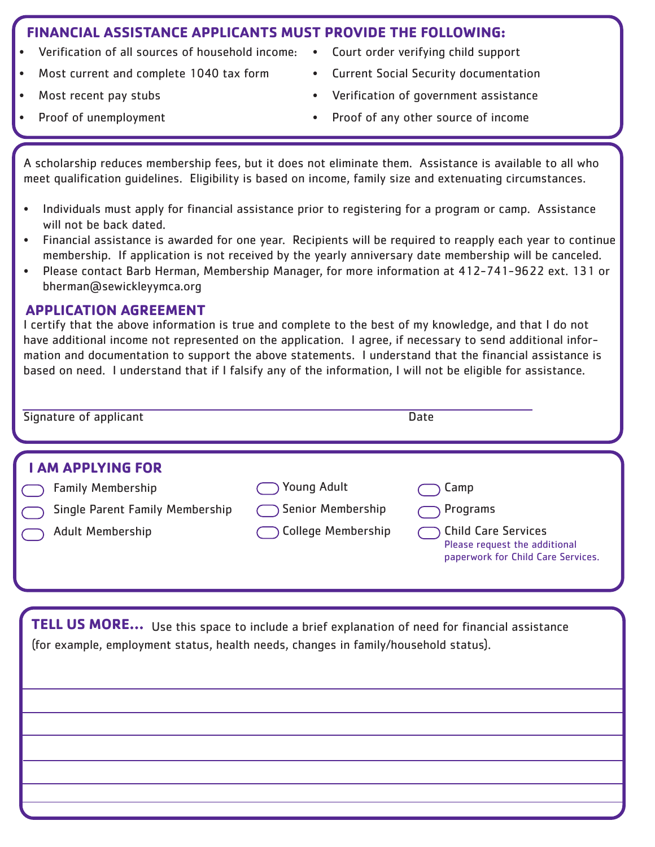## **FINANCIAL ASSISTANCE APPLICANTS MUST PROVIDE THE FOLLOWING:**

- Verification of all sources of household income:
- Most current and complete 1040 tax form
- Most recent pay stubs
- Proof of unemployment
- Court order verifying child support
	- Current Social Security documentation
- Verification of government assistance
- Proof of any other source of income

A scholarship reduces membership fees, but it does not eliminate them. Assistance is available to all who meet qualification guidelines. Eligibility is based on income, family size and extenuating circumstances.

- Individuals must apply for financial assistance prior to registering for a program or camp. Assistance will not be back dated.
- Financial assistance is awarded for one year. Recipients will be required to reapply each year to continue membership. If application is not received by the yearly anniversary date membership will be canceled.
- Please contact Barb Herman, Membership Manager, for more information at 412-741-9622 ext. 131 or bherman@sewickleyymca.org

## **APPLICATION AGREEMENT**

I certify that the above information is true and complete to the best of my knowledge, and that I do not have additional income not represented on the application. I agree, if necessary to send additional information and documentation to support the above statements. I understand that the financial assistance is based on need. I understand that if I falsify any of the information, I will not be eligible for assistance.

| Signature of applicant                                                                                             | Date                                                                 |                                                                                                                       |  |
|--------------------------------------------------------------------------------------------------------------------|----------------------------------------------------------------------|-----------------------------------------------------------------------------------------------------------------------|--|
| <b>I AM APPLYING FOR</b><br><b>Family Membership</b><br>Single Parent Family Membership<br><b>Adult Membership</b> | <b>Young Adult</b><br>Senior Membership<br><b>College Membership</b> | Camp<br>Programs<br><b>Child Care Services</b><br>Please request the additional<br>paperwork for Child Care Services. |  |

 **TELL US MORE...** Use this space to include a brief explanation of need for financial assistance (for example, employment status, health needs, changes in family/household status).